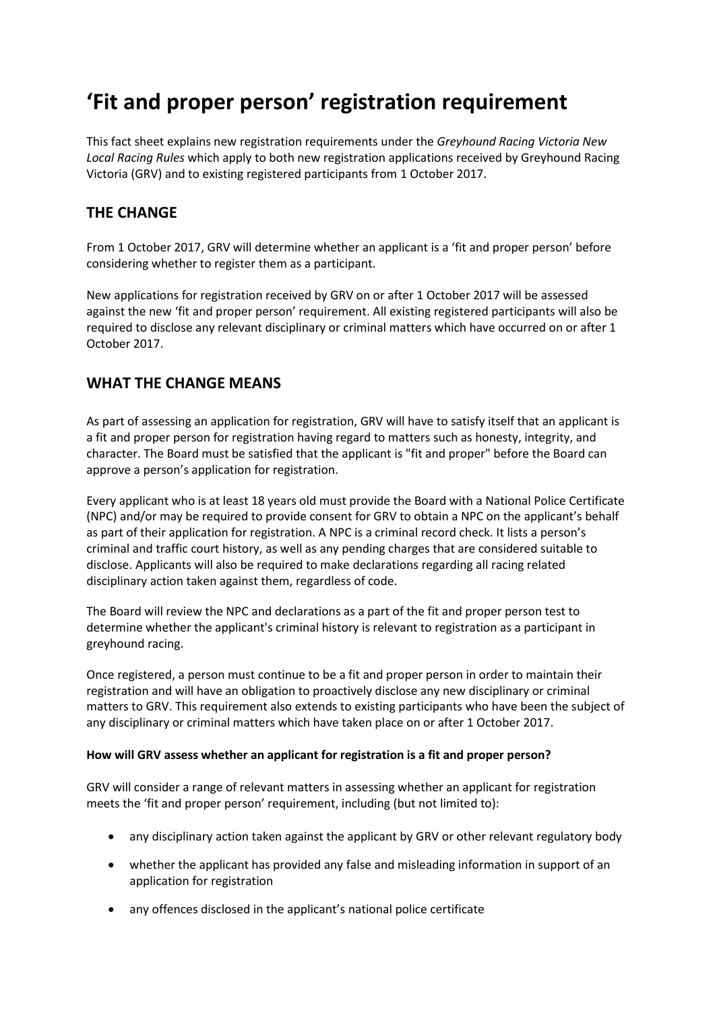# **'Fit and proper person' registration requirement**

This fact sheet explains new registration requirements under the *Greyhound Racing Victoria New Local Racing Rules* which apply to both new registration applications received by Greyhound Racing Victoria (GRV) and to existing registered participants from 1 October 2017.

## **THE CHANGE**

From 1 October 2017, GRV will determine whether an applicant is a 'fit and proper person' before considering whether to register them as a participant.

New applications for registration received by GRV on or after 1 October 2017 will be assessed against the new 'fit and proper person' requirement. All existing registered participants will also be required to disclose any relevant disciplinary or criminal matters which have occurred on or after 1 October 2017.

## **WHAT THE CHANGE MEANS**

As part of assessing an application for registration, GRV will have to satisfy itself that an applicant is a fit and proper person for registration having regard to matters such as honesty, integrity, and character. The Board must be satisfied that the applicant is "fit and proper" before the Board can approve a person's application for registration.

Every applicant who is at least 18 years old must provide the Board with a National Police Certificate (NPC) and/or may be required to provide consent for GRV to obtain a NPC on the applicant's behalf as part of their application for registration. A NPC is a criminal record check. It lists a person's criminal and traffic court history, as well as any pending charges that are considered suitable to disclose. Applicants will also be required to make declarations regarding all racing related disciplinary action taken against them, regardless of code.

The Board will review the NPC and declarations as a part of the fit and proper person test to determine whether the applicant's criminal history is relevant to registration as a participant in greyhound racing.

Once registered, a person must continue to be a fit and proper person in order to maintain their registration and will have an obligation to proactively disclose any new disciplinary or criminal matters to GRV. This requirement also extends to existing participants who have been the subject of any disciplinary or criminal matters which have taken place on or after 1 October 2017.

#### **How will GRV assess whether an applicant for registration is a fit and proper person?**

GRV will consider a range of relevant matters in assessing whether an applicant for registration meets the 'fit and proper person' requirement, including (but not limited to):

- any disciplinary action taken against the applicant by GRV or other relevant regulatory body
- whether the applicant has provided any false and misleading information in support of an application for registration
- any offences disclosed in the applicant's national police certificate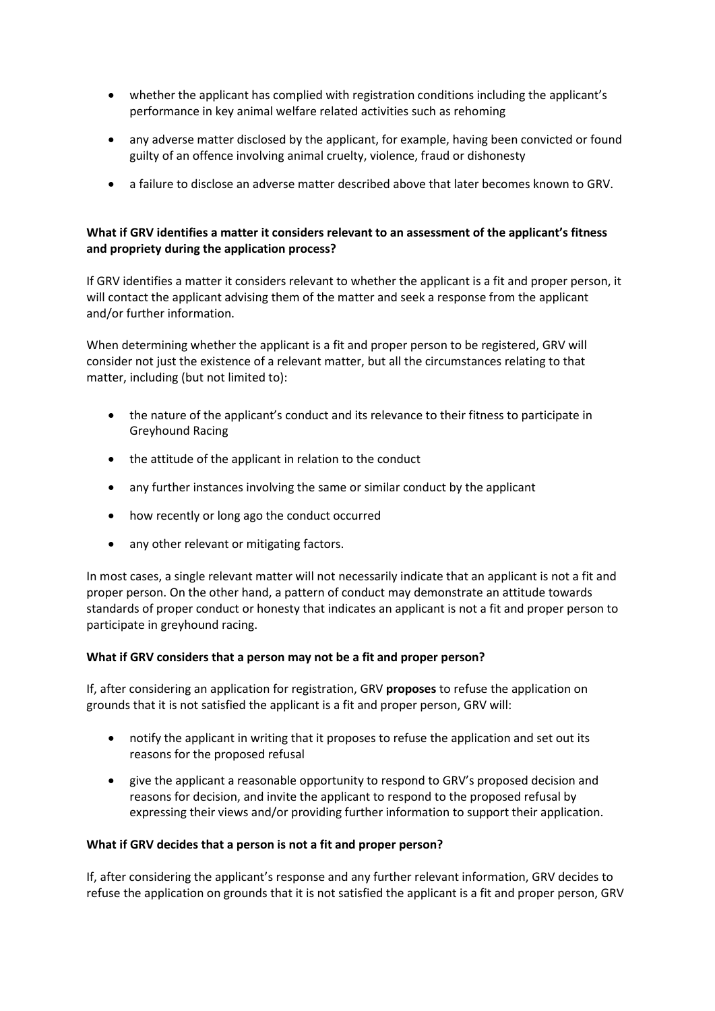- whether the applicant has complied with registration conditions including the applicant's performance in key animal welfare related activities such as rehoming
- any adverse matter disclosed by the applicant, for example, having been convicted or found guilty of an offence involving animal cruelty, violence, fraud or dishonesty
- a failure to disclose an adverse matter described above that later becomes known to GRV.

#### **What if GRV identifies a matter it considers relevant to an assessment of the applicant's fitness and propriety during the application process?**

If GRV identifies a matter it considers relevant to whether the applicant is a fit and proper person, it will contact the applicant advising them of the matter and seek a response from the applicant and/or further information.

When determining whether the applicant is a fit and proper person to be registered, GRV will consider not just the existence of a relevant matter, but all the circumstances relating to that matter, including (but not limited to):

- the nature of the applicant's conduct and its relevance to their fitness to participate in Greyhound Racing
- the attitude of the applicant in relation to the conduct
- any further instances involving the same or similar conduct by the applicant
- how recently or long ago the conduct occurred
- any other relevant or mitigating factors.

In most cases, a single relevant matter will not necessarily indicate that an applicant is not a fit and proper person. On the other hand, a pattern of conduct may demonstrate an attitude towards standards of proper conduct or honesty that indicates an applicant is not a fit and proper person to participate in greyhound racing.

#### **What if GRV considers that a person may not be a fit and proper person?**

If, after considering an application for registration, GRV **proposes** to refuse the application on grounds that it is not satisfied the applicant is a fit and proper person, GRV will:

- notify the applicant in writing that it proposes to refuse the application and set out its reasons for the proposed refusal
- give the applicant a reasonable opportunity to respond to GRV's proposed decision and reasons for decision, and invite the applicant to respond to the proposed refusal by expressing their views and/or providing further information to support their application.

#### **What if GRV decides that a person is not a fit and proper person?**

If, after considering the applicant's response and any further relevant information, GRV decides to refuse the application on grounds that it is not satisfied the applicant is a fit and proper person, GRV